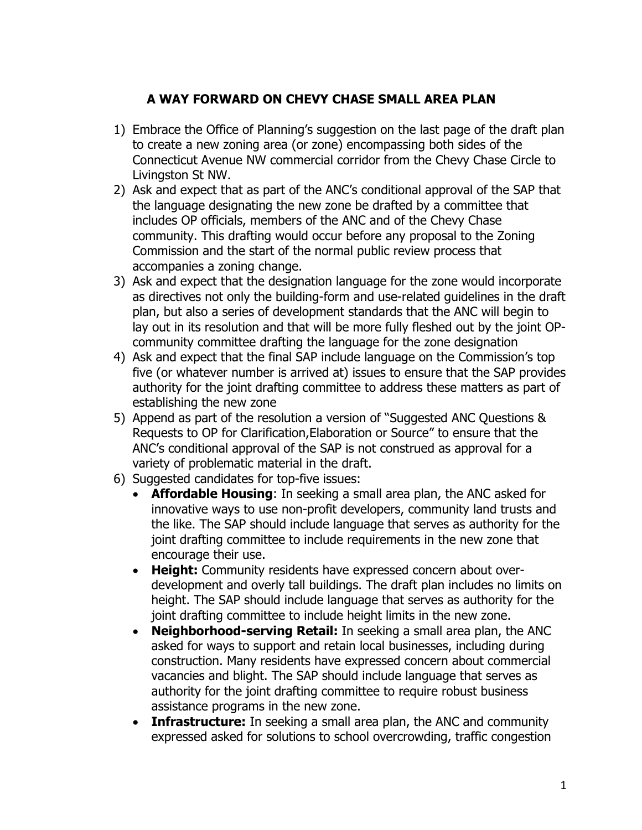## **A WAY FORWARD ON CHEVY CHASE SMALL AREA PLAN**

- 1) Embrace the Office of Planning's suggestion on the last page of the draft plan to create a new zoning area (or zone) encompassing both sides of the Connecticut Avenue NW commercial corridor from the Chevy Chase Circle to Livingston St NW.
- 2) Ask and expect that as part of the ANC's conditional approval of the SAP that the language designating the new zone be drafted by a committee that includes OP officials, members of the ANC and of the Chevy Chase community. This drafting would occur before any proposal to the Zoning Commission and the start of the normal public review process that accompanies a zoning change.
- 3) Ask and expect that the designation language for the zone would incorporate as directives not only the building-form and use-related guidelines in the draft plan, but also a series of development standards that the ANC will begin to lay out in its resolution and that will be more fully fleshed out by the joint OPcommunity committee drafting the language for the zone designation
- 4) Ask and expect that the final SAP include language on the Commission's top five (or whatever number is arrived at) issues to ensure that the SAP provides authority for the joint drafting committee to address these matters as part of establishing the new zone
- 5) Append as part of the resolution a version of "Suggested ANC Questions & Requests to OP for Clarification,Elaboration or Source" to ensure that the ANC's conditional approval of the SAP is not construed as approval for a variety of problematic material in the draft.
- 6) Suggested candidates for top-five issues:
	- **Affordable Housing**: In seeking a small area plan, the ANC asked for innovative ways to use non-profit developers, community land trusts and the like. The SAP should include language that serves as authority for the joint drafting committee to include requirements in the new zone that encourage their use.
	- **Height:** Community residents have expressed concern about overdevelopment and overly tall buildings. The draft plan includes no limits on height. The SAP should include language that serves as authority for the joint drafting committee to include height limits in the new zone.
	- **Neighborhood-serving Retail:** In seeking a small area plan, the ANC asked for ways to support and retain local businesses, including during construction. Many residents have expressed concern about commercial vacancies and blight. The SAP should include language that serves as authority for the joint drafting committee to require robust business assistance programs in the new zone.
	- **Infrastructure:** In seeking a small area plan, the ANC and community expressed asked for solutions to school overcrowding, traffic congestion